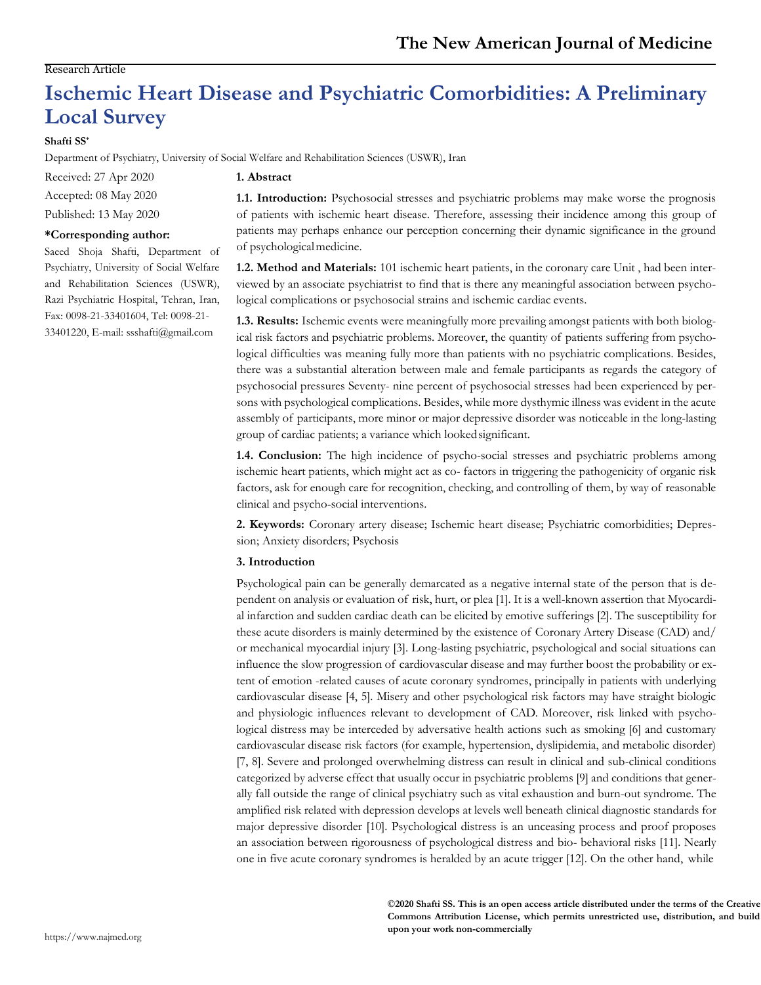# Research Article

# **Ischemic Heart Disease and Psychiatric Comorbidities: A Preliminary Local Survey**

# **Shafti SS\***

Department of Psychiatry, University of Social Welfare and Rehabilitation Sciences (USWR), Iran

Received: 27 Apr 2020 Accepted: 08 May 2020 Published: 13 May 2020

# **\*Corresponding author:**

Saeed Shoja Shafti, Department of Psychiatry, University of Social Welfare and Rehabilitation Sciences (USWR), Razi Psychiatric Hospital, Tehran, Iran, Fax: 0098-21-33401604, Tel: 0098-21- 33401220, E-mail[: ssshafti@gmail.com](mailto:ssshafti@gmail.com)

# **1. Abstract**

**1.1. Introduction:** Psychosocial stresses and psychiatric problems may make worse the prognosis of patients with ischemic heart disease. Therefore, assessing their incidence among this group of patients may perhaps enhance our perception concerning their dynamic significance in the ground of psychologicalmedicine.

**1.2. Method and Materials:** 101 ischemic heart patients, in the coronary care Unit , had been interviewed by an associate psychiatrist to find that is there any meaningful association between psychological complications or psychosocial strains and ischemic cardiac events.

**1.3. Results:** Ischemic events were meaningfully more prevailing amongst patients with both biological risk factors and psychiatric problems. Moreover, the quantity of patients suffering from psychological difficulties was meaning fully more than patients with no psychiatric complications. Besides, there was a substantial alteration between male and female participants as regards the category of psychosocial pressures Seventy- nine percent of psychosocial stresses had been experienced by persons with psychological complications. Besides, while more dysthymic illness was evident in the acute assembly of participants, more minor or major depressive disorder was noticeable in the long-lasting group of cardiac patients; a variance which lookedsignificant.

**1.4. Conclusion:** The high incidence of psycho-social stresses and psychiatric problems among ischemic heart patients, which might act as co- factors in triggering the pathogenicity of organic risk factors, ask for enough care for recognition, checking, and controlling of them, by way of reasonable clinical and psycho-social interventions.

**2. Keywords:** Coronary artery disease; Ischemic heart disease; Psychiatric comorbidities; Depression; Anxiety disorders; Psychosis

# **3. Introduction**

Psychological pain can be generally demarcated as a negative internal state of the person that is dependent on analysis or evaluation of risk, hurt, or plea [1]. It is a well-known assertion that Myocardial infarction and sudden cardiac death can be elicited by emotive sufferings [2]. The susceptibility for these acute disorders is mainly determined by the existence of Coronary Artery Disease (CAD) and/ or mechanical myocardial injury [3]. Long-lasting psychiatric, psychological and social situations can influence the slow progression of cardiovascular disease and may further boost the probability or extent of emotion -related causes of acute coronary syndromes, principally in patients with underlying cardiovascular disease [4, 5]. Misery and other psychological risk factors may have straight biologic and physiologic influences relevant to development of CAD. Moreover, risk linked with psychological distress may be interceded by adversative health actions such as smoking [6] and customary cardiovascular disease risk factors (for example, hypertension, dyslipidemia, and metabolic disorder) [7, 8]. Severe and prolonged overwhelming distress can result in clinical and sub-clinical conditions categorized by adverse effect that usually occur in psychiatric problems [9] and conditions that generally fall outside the range of clinical psychiatry such as vital exhaustion and burn-out syndrome. The amplified risk related with depression develops at levels well beneath clinical diagnostic standards for major depressive disorder [10]. Psychological distress is an unceasing process and proof proposes an association between rigorousness of psychological distress and bio- behavioral risks [11]. Nearly one in five acute coronary syndromes is heralded by an acute trigger [12]. On the other hand, while

> **©2020 Shafti SS. This is an open access article distributed under the terms of the Creative Commons Attribution License, which permits unrestricted use, distribution, and build upon your work non-commercially**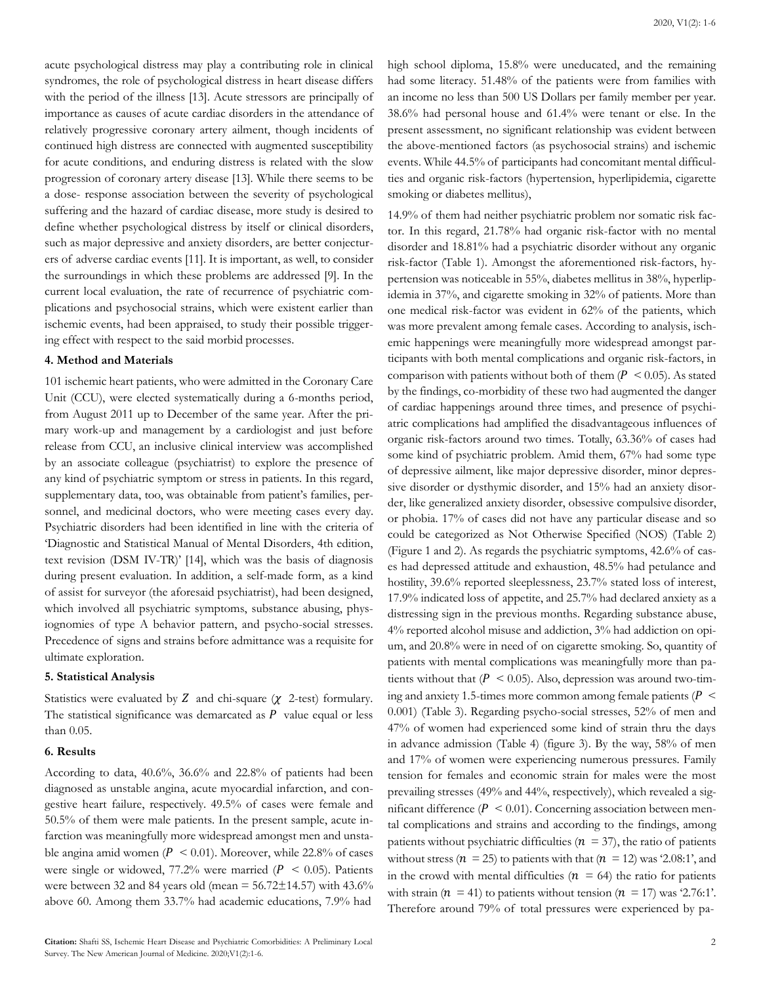acute psychological distress may play a contributing role in clinical syndromes, the role of psychological distress in heart disease differs with the period of the illness [13]. Acute stressors are principally of importance as causes of acute cardiac disorders in the attendance of relatively progressive coronary artery ailment, though incidents of continued high distress are connected with augmented susceptibility for acute conditions, and enduring distress is related with the slow progression of coronary artery disease [13]. While there seems to be a dose- response association between the severity of psychological suffering and the hazard of cardiac disease, more study is desired to define whether psychological distress by itself or clinical disorders, such as major depressive and anxiety disorders, are better conjecturers of adverse cardiac events [11]. It is important, as well, to consider the surroundings in which these problems are addressed [9]. In the current local evaluation, the rate of recurrence of psychiatric complications and psychosocial strains, which were existent earlier than ischemic events, had been appraised, to study their possible triggering effect with respect to the said morbid processes.

#### **4. Method and Materials**

101 ischemic heart patients, who were admitted in the Coronary Care Unit (CCU), were elected systematically during a 6-months period, from August 2011 up to December of the same year. After the primary work-up and management by a cardiologist and just before release from CCU, an inclusive clinical interview was accomplished by an associate colleague (psychiatrist) to explore the presence of any kind of psychiatric symptom or stress in patients. In this regard, supplementary data, too, was obtainable from patient's families, personnel, and medicinal doctors, who were meeting cases every day. Psychiatric disorders had been identified in line with the criteria of 'Diagnostic and Statistical Manual of Mental Disorders, 4th edition, text revision (DSM IV-TR)' [14], which was the basis of diagnosis during present evaluation. In addition, a self-made form, as a kind of assist for surveyor (the aforesaid psychiatrist), had been designed, which involved all psychiatric symptoms, substance abusing, physiognomies of type A behavior pattern, and psycho-social stresses. Precedence of signs and strains before admittance was a requisite for ultimate exploration.

# **5. Statistical Analysis**

Statistics were evaluated by Z and chi-square  $(\chi$  2-test) formulary. The statistical significance was demarcated as  $P$  value equal or less than 0.05.

# **6. Results**

According to data, 40.6%, 36.6% and 22.8% of patients had been diagnosed as unstable angina, acute myocardial infarction, and congestive heart failure, respectively. 49.5% of cases were female and 50.5% of them were male patients. In the present sample, acute infarction was meaningfully more widespread amongst men and unstable angina amid women ( $P < 0.01$ ). Moreover, while 22.8% of cases were single or widowed, 77.2% were married ( $P < 0.05$ ). Patients were between 32 and 84 years old (mean  $=$  56.72 $\pm$ 14.57) with 43.6% above 60. Among them 33.7% had academic educations, 7.9% had

high school diploma, 15.8% were uneducated, and the remaining had some literacy. 51.48% of the patients were from families with an income no less than 500 US Dollars per family member per year. 38.6% had personal house and 61.4% were tenant or else. In the present assessment, no significant relationship was evident between the above-mentioned factors (as psychosocial strains) and ischemic events. While 44.5% of participants had concomitant mental difficulties and organic risk-factors (hypertension, hyperlipidemia, cigarette smoking or diabetes mellitus),

14.9% of them had neither psychiatric problem nor somatic risk factor. In this regard, 21.78% had organic risk-factor with no mental disorder and 18.81% had a psychiatric disorder without any organic risk-factor (Table 1). Amongst the aforementioned risk-factors, hypertension was noticeable in 55%, diabetes mellitus in 38%, hyperlipidemia in 37%, and cigarette smoking in 32% of patients. More than one medical risk-factor was evident in 62% of the patients, which was more prevalent among female cases. According to analysis, ischemic happenings were meaningfully more widespread amongst participants with both mental complications and organic risk-factors, in comparison with patients without both of them ( $P < 0.05$ ). As stated by the findings, co-morbidity of these two had augmented the danger of cardiac happenings around three times, and presence of psychiatric complications had amplified the disadvantageous influences of organic risk-factors around two times. Totally, 63.36% of cases had some kind of psychiatric problem. Amid them, 67% had some type of depressive ailment, like major depressive disorder, minor depressive disorder or dysthymic disorder, and 15% had an anxiety disorder, like generalized anxiety disorder, obsessive compulsive disorder, or phobia. 17% of cases did not have any particular disease and so could be categorized as Not Otherwise Specified (NOS) (Table 2) (Figure 1 and 2). As regards the psychiatric symptoms, 42.6% of cases had depressed attitude and exhaustion, 48.5% had petulance and hostility, 39.6% reported sleeplessness, 23.7% stated loss of interest, 17.9% indicated loss of appetite, and 25.7% had declared anxiety as a distressing sign in the previous months. Regarding substance abuse, 4% reported alcohol misuse and addiction, 3% had addiction on opium, and 20.8% were in need of on cigarette smoking. So, quantity of patients with mental complications was meaningfully more than patients without that  $(P \le 0.05)$ . Also, depression was around two-timing and anxiety 1.5-times more common among female patients ( $P \leq$ 0.001) (Table 3). Regarding psycho-social stresses, 52% of men and 47% of women had experienced some kind of strain thru the days in advance admission (Table 4) (figure 3). By the way, 58% of men and 17% of women were experiencing numerous pressures. Family tension for females and economic strain for males were the most prevailing stresses (49% and 44%, respectively), which revealed a significant difference ( $P < 0.01$ ). Concerning association between mental complications and strains and according to the findings, among patients without psychiatric difficulties ( $n = 37$ ), the ratio of patients without stress ( $n = 25$ ) to patients with that ( $n = 12$ ) was '2.08:1', and in the crowd with mental difficulties ( $n = 64$ ) the ratio for patients with strain ( $n = 41$ ) to patients without tension ( $n = 17$ ) was '2.76:1'. Therefore around 79% of total pressures were experienced by pa-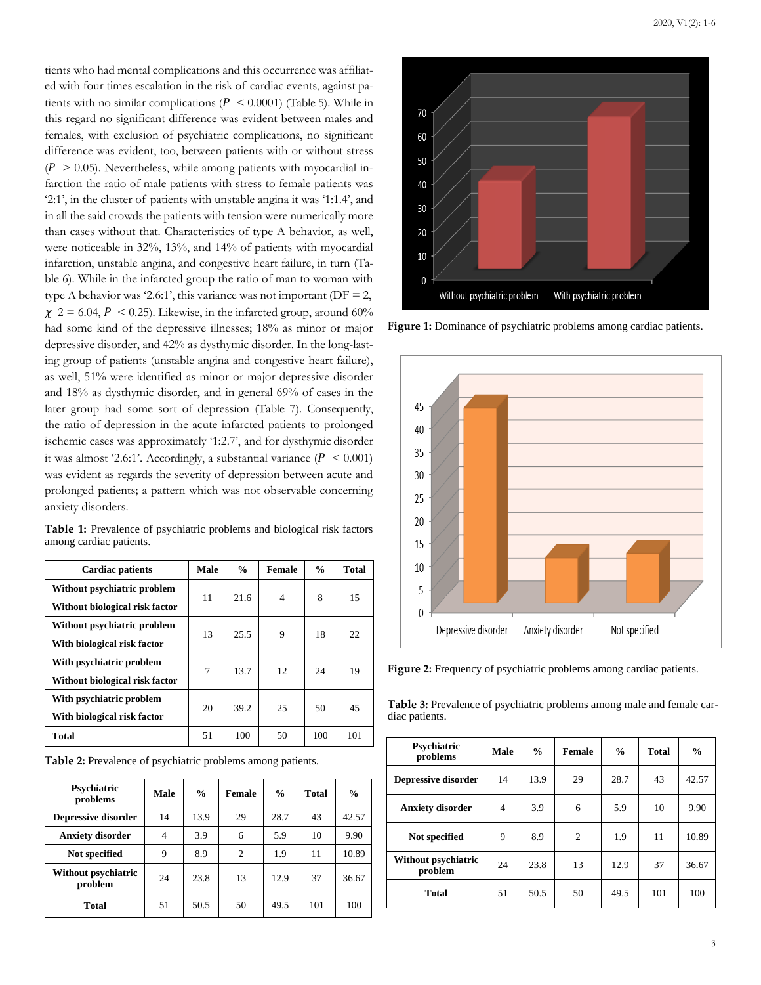tients who had mental complications and this occurrence was affiliated with four times escalation in the risk of cardiac events, against patients with no similar complications ( $P < 0.0001$ ) (Table 5). While in this regard no significant difference was evident between males and females, with exclusion of psychiatric complications, no significant difference was evident, too, between patients with or without stress  $(P > 0.05)$ . Nevertheless, while among patients with myocardial infarction the ratio of male patients with stress to female patients was '2:1', in the cluster of patients with unstable angina it was '1:1.4', and in all the said crowds the patients with tension were numerically more than cases without that. Characteristics of type A behavior, as well, were noticeable in 32%, 13%, and 14% of patients with myocardial infarction, unstable angina, and congestive heart failure, in turn (Table 6). While in the infarcted group the ratio of man to woman with type A behavior was '2.6:1', this variance was not important ( $DF = 2$ ,  $\chi$  2 = 6.04, P < 0.25). Likewise, in the infarcted group, around 60% had some kind of the depressive illnesses; 18% as minor or major depressive disorder, and 42% as dysthymic disorder. In the long-lasting group of patients (unstable angina and congestive heart failure), as well, 51% were identified as minor or major depressive disorder and 18% as dysthymic disorder, and in general 69% of cases in the later group had some sort of depression (Table 7). Consequently, the ratio of depression in the acute infarcted patients to prolonged ischemic cases was approximately '1:2.7', and for dysthymic disorder it was almost '2.6:1'. Accordingly, a substantial variance ( $P < 0.001$ ) was evident as regards the severity of depression between acute and prolonged patients; a pattern which was not observable concerning anxiety disorders.

| Table 1: Prevalence of psychiatric problems and biological risk factors |  |  |  |
|-------------------------------------------------------------------------|--|--|--|
| among cardiac patients.                                                 |  |  |  |

| <b>Cardiac patients</b>        | Male | $\frac{0}{0}$ | <b>Female</b>  | $\frac{0}{0}$ | <b>Total</b> |
|--------------------------------|------|---------------|----------------|---------------|--------------|
| Without psychiatric problem    | 11   | 21.6          | $\overline{4}$ | 8             | 15           |
| Without biological risk factor |      |               |                |               |              |
| Without psychiatric problem    | 13   | 25.5          | 9              | 18            | 22           |
| With biological risk factor    |      |               |                |               |              |
| With psychiatric problem       | 7    | 13.7          | 12             | 24            | 19           |
| Without biological risk factor |      |               |                |               |              |
| With psychiatric problem       | 20   | 39.2          | 25             | 50            | 45           |
| With biological risk factor    |      |               |                |               |              |
| <b>Total</b>                   | 51   | 100           | 50             | 100           | 101          |

**Table 2:** Prevalence of psychiatric problems among patients.

| Psychiatric<br>problems        | Male | $\frac{0}{0}$ | <b>Female</b>  | $\frac{0}{0}$ | <b>Total</b> | $\frac{0}{0}$ |
|--------------------------------|------|---------------|----------------|---------------|--------------|---------------|
| Depressive disorder            | 14   | 13.9          | 29             | 28.7          | 43           | 42.57         |
| <b>Anxiety disorder</b>        | 4    | 3.9           | 6              | 5.9           | 10           | 9.90          |
| Not specified                  | 9    | 8.9           | $\overline{c}$ | 1.9           | 11           | 10.89         |
| Without psychiatric<br>problem | 24   | 23.8          | 13             | 12.9          | 37           | 36.67         |
| <b>Total</b>                   | 51   | 50.5          | 50             | 49.5          | 101          | 100           |



Figure 1: Dominance of psychiatric problems among cardiac patients.



**Figure 2:** Frequency of psychiatric problems among cardiac patients.

**Table 3:** Prevalence of psychiatric problems among male and female cardiac patients.

| Psychiatric<br>problems        | <b>Male</b>    | $\frac{0}{0}$ | Female         | $\frac{0}{0}$ | <b>Total</b> | $\frac{0}{0}$ |
|--------------------------------|----------------|---------------|----------------|---------------|--------------|---------------|
| <b>Depressive disorder</b>     | 14             | 13.9          | 29             | 28.7          | 43           | 42.57         |
| <b>Anxiety disorder</b>        | $\overline{4}$ | 3.9           | 6              | 5.9           | 10           | 9.90          |
| Not specified                  | 9              | 8.9           | $\overline{c}$ | 1.9           | 11           | 10.89         |
| Without psychiatric<br>problem | 24             | 23.8          | 13             | 12.9          | 37           | 36.67         |
| <b>Total</b>                   | 51             | 50.5          | 50             | 49.5          | 101          | 100           |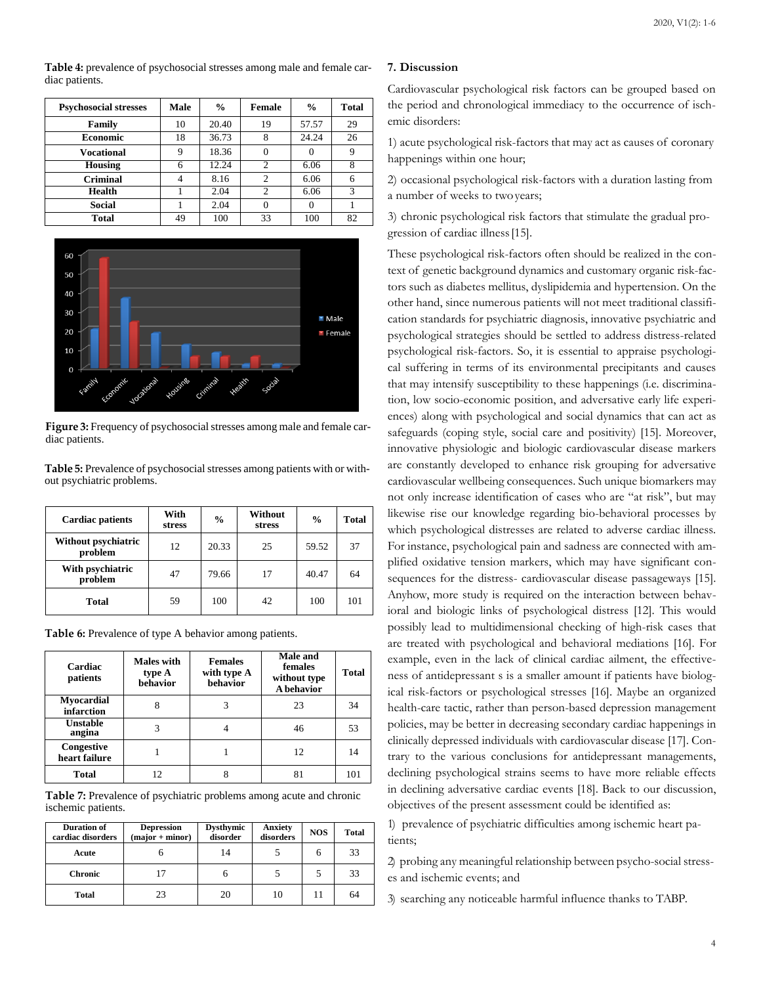**Table 4:** prevalence of psychosocial stresses among male and female cardiac patients.

| <b>Psychosocial stresses</b> | <b>Male</b> | $\frac{0}{0}$ | Female         | $\frac{0}{0}$ | Total |
|------------------------------|-------------|---------------|----------------|---------------|-------|
| Family                       | 10          | 20.40         | 19             | 57.57         | 29    |
| <b>Economic</b>              | 18          | 36.73         | 8              | 24.24         | 26    |
| <b>Vocational</b>            | 9           | 18.36         |                |               |       |
| <b>Housing</b>               |             | 12.24         |                | 6.06          |       |
| <b>Criminal</b>              |             | 8.16          | $\overline{c}$ | 6.06          | 6     |
| <b>Health</b>                |             | 2.04          | $\overline{c}$ | 6.06          | 3     |
| Social                       |             | 2.04          | $\Omega$       |               |       |
| <b>Total</b>                 | 49          | 100           | 33             | 100           | 82    |



**Figure** 3: Frequency of psychosocial stresses among male and female cardiac patients.

**Table** 5: Prevalence of psychosocial stresses among patients with or without psychiatric problems.

| <b>Cardiac patients</b>        | With<br>stress | $\frac{6}{9}$ | Without<br>stress |       | <b>Total</b> |
|--------------------------------|----------------|---------------|-------------------|-------|--------------|
| Without psychiatric<br>problem | 12             | 20.33         | 25                | 59.52 | 37           |
| With psychiatric<br>problem    | 47             | 79.66         | 17                | 40.47 | 64           |
| <b>Total</b>                   | 59             | 100           | 42                | 100   | 101          |

Table 6: Prevalence of type A behavior among patients.

| Cardiac<br>patients         | <b>Males with</b><br>type A<br>behavior | <b>Females</b><br>with type A<br>behavior | Male and<br>females<br>without type<br>A behavior |     |
|-----------------------------|-----------------------------------------|-------------------------------------------|---------------------------------------------------|-----|
| Myocardial<br>infarction    |                                         |                                           | 23                                                | 34  |
| Unstable<br>angina          |                                         |                                           | 46                                                | 53  |
| Congestive<br>heart failure |                                         |                                           | 12                                                | 14  |
| Total                       | 12.                                     |                                           | 81                                                | 101 |

Table 7: Prevalence of psychiatric problems among acute and chronic ischemic patients.

| <b>Duration of</b><br>cardiac disorders | <b>Depression</b><br>$(major + minor)$ | <b>Dysthymic</b><br>disorder | Anxiety<br>disorders | <b>NOS</b> | <b>Total</b> |
|-----------------------------------------|----------------------------------------|------------------------------|----------------------|------------|--------------|
| Acute                                   | О                                      | 14                           |                      | h          | 33           |
| <b>Chronic</b>                          |                                        |                              |                      |            | 33           |
| <b>Total</b>                            | 23                                     | 20                           | 10                   |            | 64           |

# **7. Discussion**

Cardiovascular psychological risk factors can be grouped based on the period and chronological immediacy to the occurrence of ischemic disorders:

1) acute psychological risk-factors that may act as causes of coronary happenings within one hour;

2) occasional psychological risk-factors with a duration lasting from a number of weeks to twoyears;

3) chronic psychological risk factors that stimulate the gradual progression of cardiac illness[15].

These psychological risk-factors often should be realized in the context of genetic background dynamics and customary organic risk-factors such as diabetes mellitus, dyslipidemia and hypertension. On the other hand, since numerous patients will not meet traditional classification standards for psychiatric diagnosis, innovative psychiatric and psychological strategies should be settled to address distress-related psychological risk-factors. So, it is essential to appraise psychological suffering in terms of its environmental precipitants and causes that may intensify susceptibility to these happenings (i.e. discrimination, low socio-economic position, and adversative early life experiences) along with psychological and social dynamics that can act as safeguards (coping style, social care and positivity) [15]. Moreover, innovative physiologic and biologic cardiovascular disease markers are constantly developed to enhance risk grouping for adversative cardiovascular wellbeing consequences. Such unique biomarkers may not only increase identification of cases who are "at risk", but may likewise rise our knowledge regarding bio-behavioral processes by which psychological distresses are related to adverse cardiac illness. For instance, psychological pain and sadness are connected with amplified oxidative tension markers, which may have significant consequences for the distress- cardiovascular disease passageways [15]. Anyhow, more study is required on the interaction between behavioral and biologic links of psychological distress [12]. This would possibly lead to multidimensional checking of high-risk cases that are treated with psychological and behavioral mediations [16]. For example, even in the lack of clinical cardiac ailment, the effectiveness of antidepressant s is a smaller amount if patients have biological risk-factors or psychological stresses [16]. Maybe an organized health-care tactic, rather than person-based depression management policies, may be better in decreasing secondary cardiac happenings in clinically depressed individuals with cardiovascular disease [17]. Contrary to the various conclusions for antidepressant managements, declining psychological strains seems to have more reliable effects in declining adversative cardiac events [18]. Back to our discussion, objectives of the present assessment could be identified as:

1) prevalence of psychiatric difficulties among ischemic heart patients;

2) probing any meaningful relationship between psycho-social stresses and ischemic events; and

3) searching any noticeable harmful influence thanks to TABP.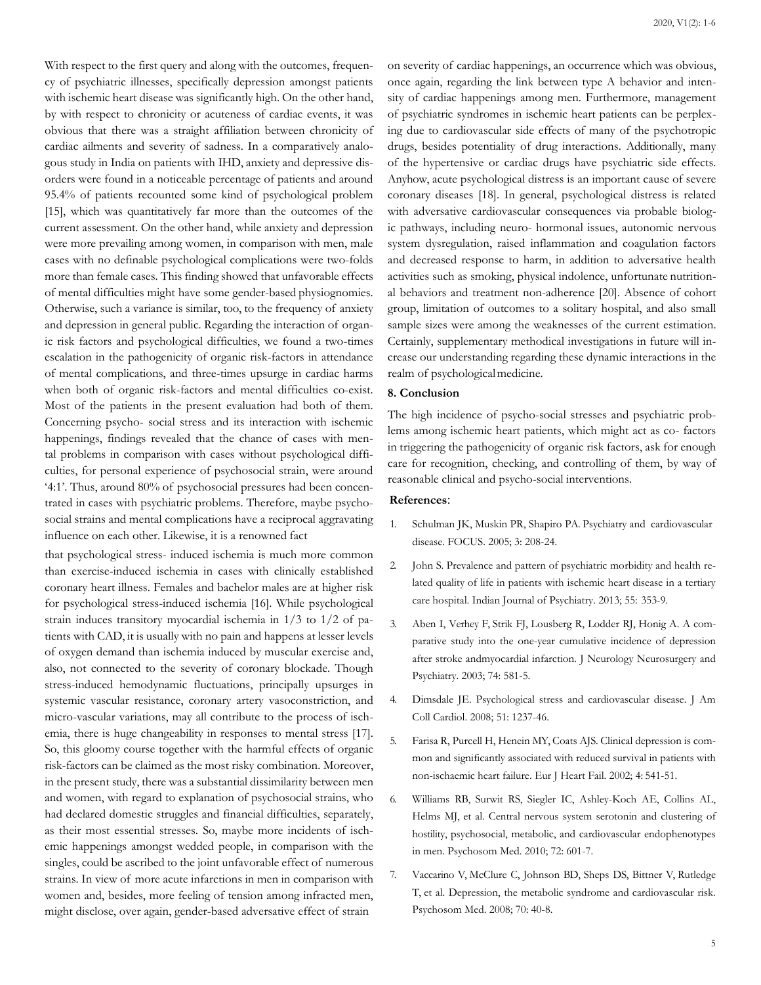With respect to the first query and along with the outcomes, frequency of psychiatric illnesses, specifically depression amongst patients with ischemic heart disease was significantly high. On the other hand, by with respect to chronicity or acuteness of cardiac events, it was obvious that there was a straight affiliation between chronicity of cardiac ailments and severity of sadness. In a comparatively analogous study in India on patients with IHD, anxiety and depressive disorders were found in a noticeable percentage of patients and around 95.4% of patients recounted some kind of psychological problem [15], which was quantitatively far more than the outcomes of the current assessment. On the other hand, while anxiety and depression were more prevailing among women, in comparison with men, male cases with no definable psychological complications were two-folds more than female cases. This finding showed that unfavorable effects of mental difficulties might have some gender-based physiognomies. Otherwise, such a variance is similar, too, to the frequency of anxiety and depression in general public. Regarding the interaction of organic risk factors and psychological difficulties, we found a two-times escalation in the pathogenicity of organic risk-factors in attendance of mental complications, and three-times upsurge in cardiac harms when both of organic risk-factors and mental difficulties co-exist. Most of the patients in the present evaluation had both of them. Concerning psycho- social stress and its interaction with ischemic happenings, findings revealed that the chance of cases with mental problems in comparison with cases without psychological difficulties, for personal experience of psychosocial strain, were around '4:1'. Thus, around 80% of psychosocial pressures had been concentrated in cases with psychiatric problems. Therefore, maybe psycho-

that psychological stress- induced ischemia is much more common than exercise-induced ischemia in cases with clinically established coronary heart illness. Females and bachelor males are at higher risk for psychological stress-induced ischemia [16]. While psychological strain induces transitory myocardial ischemia in 1/3 to 1/2 of patients with CAD, it is usually with no pain and happens at lesser levels of oxygen demand than ischemia induced by muscular exercise and, also, not connected to the severity of coronary blockade. Though stress-induced hemodynamic fluctuations, principally upsurges in systemic vascular resistance, coronary artery vasoconstriction, and micro-vascular variations, may all contribute to the process of ischemia, there is huge changeability in responses to mental stress [17]. So, this gloomy course together with the harmful effects of organic risk-factors can be claimed as the most risky combination. Moreover, in the present study, there was a substantial dissimilarity between men and women, with regard to explanation of psychosocial strains, who had declared domestic struggles and financial difficulties, separately, as their most essential stresses. So, maybe more incidents of ischemic happenings amongst wedded people, in comparison with the singles, could be ascribed to the joint unfavorable effect of numerous strains. In view of more acute infarctions in men in comparison with women and, besides, more feeling of tension among infracted men, might disclose, over again, gender-based adversative effect of strain

social strains and mental complications have a reciprocal aggravating

influence on each other. Likewise, it is a renowned fact

on severity of cardiac happenings, an occurrence which was obvious, once again, regarding the link between type A behavior and intensity of cardiac happenings among men. Furthermore, management of psychiatric syndromes in ischemic heart patients can be perplexing due to cardiovascular side effects of many of the psychotropic drugs, besides potentiality of drug interactions. Additionally, many of the hypertensive or cardiac drugs have psychiatric side effects. Anyhow, acute psychological distress is an important cause of severe coronary diseases [18]. In general, psychological distress is related with adversative cardiovascular consequences via probable biologic pathways, including neuro- hormonal issues, autonomic nervous system dysregulation, raised inflammation and coagulation factors and decreased response to harm, in addition to adversative health activities such as smoking, physical indolence, unfortunate nutritional behaviors and treatment non-adherence [20]. Absence of cohort group, limitation of outcomes to a solitary hospital, and also small sample sizes were among the weaknesses of the current estimation. Certainly, supplementary methodical investigations in future will increase our understanding regarding these dynamic interactions in the realm of psychologicalmedicine.

#### **8. Conclusion**

The high incidence of psycho-social stresses and psychiatric problems among ischemic heart patients, which might act as co- factors in triggering the pathogenicity of organic risk factors, ask for enough care for recognition, checking, and controlling of them, by way of reasonable clinical and psycho-social interventions.

# **References**:

- 1. Schulman JK, Muskin PR, Shapiro PA. Psychiatry and cardiovascular disease. FOCUS. 2005; 3: 208-24.
- 2. [John S. Prevalence and pattern of psychiatric morbidity and health re](https://pubmed.ncbi.nlm.nih.gov/24459306/)lated quality of life in patients with ischemic heart disease in a tertiar[y](https://pubmed.ncbi.nlm.nih.gov/24459306/) [care hospital. Indian Journal of Psychiatry. 2013; 55:](https://pubmed.ncbi.nlm.nih.gov/24459306/) 353-9.
- 3. [Aben I, Verhey F, Strik FJ, Lousberg R, Lodder RJ, Honig A. A com](https://pubmed.ncbi.nlm.nih.gov/12700297/)parative study into the one-year cumulative incidence of depressio[n](https://pubmed.ncbi.nlm.nih.gov/12700297/) [after stroke andmyocardial infarction. J Neurology Neurosurgery and](https://pubmed.ncbi.nlm.nih.gov/12700297/) Psychiatry. 2003; 74: 581-5.
- 4. [Dimsdale JE. Psychological stress and cardiovascular disease. J Am](https://pubmed.ncbi.nlm.nih.gov/18371552/) Coll Cardiol. 2008; 51: 1237-46.
- 5. Farisa R, Purcell H, Henein MY, Coats AJS. Clinical [depression](https://pubmed.ncbi.nlm.nih.gov/12167395/) is common and significantly associated with reduced survival in patients wit[h](https://pubmed.ncbi.nlm.nih.gov/12167395/) [non-ischaemic heart failure. Eur J Heart Fail. 2002; 4:](https://pubmed.ncbi.nlm.nih.gov/12167395/) 541-51.
- 6. [Williams RB, Surwit RS, Siegler IC, Ashley-Koch AE, Collins AL,](https://pubmed.ncbi.nlm.nih.gov/20595415/) Helms MJ, et al. Central nervous system serotonin and clustering o[f](https://pubmed.ncbi.nlm.nih.gov/20595415/) [hostility, psychosocial, metabolic, and cardiovascular endophenotypes](https://pubmed.ncbi.nlm.nih.gov/20595415/) in men. Psychosom Med. 2010; 72: 601-7.
- 7. [Vaccarino V, McClure C, Johnson BD, Sheps DS, Bittner V, Rutledge](https://pubmed.ncbi.nlm.nih.gov/18158378/) T, et al. Depression, the metabolic syndrome and cardiovascular risk[.](https://pubmed.ncbi.nlm.nih.gov/18158378/) [Psychosom Med. 2008; 70:](https://pubmed.ncbi.nlm.nih.gov/18158378/) 40-8.